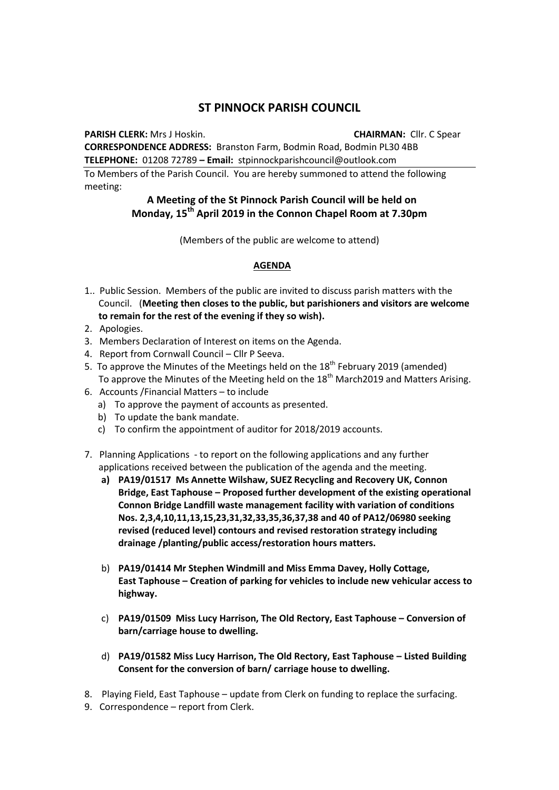## **ST PINNOCK PARISH COUNCIL**

**PARISH CLERK:** Mrs J Hoskin. **CHAIRMAN:** Cllr. C Spear

**CORRESPONDENCE ADDRESS:** Branston Farm, Bodmin Road, Bodmin PL30 4BB **TELEPHONE:** 01208 72789 **– Email:** stpinnockparishcouncil@outlook.com

To Members of the Parish Council. You are hereby summoned to attend the following meeting:

## **A Meeting of the St Pinnock Parish Council will be held on Monday, 15th April 2019 in the Connon Chapel Room at 7.30pm**

(Members of the public are welcome to attend)

## **AGENDA**

- 1.. Public Session. Members of the public are invited to discuss parish matters with the Council. (**Meeting then closes to the public, but parishioners and visitors are welcome to remain for the rest of the evening if they so wish).**
- 2. Apologies.
- 3. Members Declaration of Interest on items on the Agenda.
- 4. Report from Cornwall Council Cllr P Seeva.
- 5. To approve the Minutes of the Meetings held on the  $18<sup>th</sup>$  February 2019 (amended) To approve the Minutes of the Meeting held on the 18<sup>th</sup> March2019 and Matters Arising.
- 6. Accounts /Financial Matters to include
	- a) To approve the payment of accounts as presented.
	- b) To update the bank mandate.
	- c) To confirm the appointment of auditor for 2018/2019 accounts.
- 7. Planning Applications to report on the following applications and any further applications received between the publication of the agenda and the meeting.
	- **a) PA19/01517 Ms Annette Wilshaw, SUEZ Recycling and Recovery UK, Connon Bridge, East Taphouse – Proposed further development of the existing operational Connon Bridge Landfill waste management facility with variation of conditions Nos. 2,3,4,10,11,13,15,23,31,32,33,35,36,37,38 and 40 of PA12/06980 seeking revised (reduced level) contours and revised restoration strategy including drainage /planting/public access/restoration hours matters.**
	- b) **PA19/01414 Mr Stephen Windmill and Miss Emma Davey, Holly Cottage, East Taphouse – Creation of parking for vehicles to include new vehicular access to highway.**
	- c) **PA19/01509 Miss Lucy Harrison, The Old Rectory, East Taphouse – Conversion of barn/carriage house to dwelling.**
	- d) **PA19/01582 Miss Lucy Harrison, The Old Rectory, East Taphouse – Listed Building Consent for the conversion of barn/ carriage house to dwelling.**
- 8. Playing Field, East Taphouse update from Clerk on funding to replace the surfacing.
- 9. Correspondence report from Clerk.